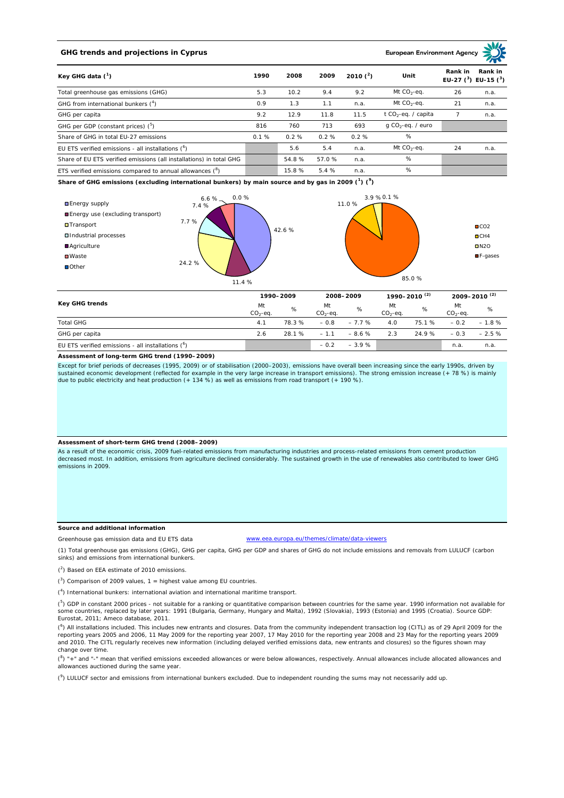## **GHG trends and projections in Cyprus**

**European Environment Ag** 

| Key GHG data $(^1)$                                                 |      | 2008  | 2009  | 2010 $(^{2})$ | Unit                            | Rank in | Rank in<br>EU-27 $(^3)$ EU-15 $(^3)$ |
|---------------------------------------------------------------------|------|-------|-------|---------------|---------------------------------|---------|--------------------------------------|
| Total greenhouse gas emissions (GHG)                                | 5.3  | 10.2  | 9.4   | 9.2           | Mt $CO_2$ -eq.                  | 26      | n.a.                                 |
| GHG from international bunkers $(^4)$                               | 0.9  | 1.3   | 1.1   | n.a.          | Mt $CO_2$ -eq.                  | 21      | n.a.                                 |
| GHG per capita                                                      | 9.2  | 12.9  | 11.8  | 11.5          | t CO <sub>2</sub> -eq. / capita |         | n.a.                                 |
| GHG per GDP (constant prices) $(^5)$                                | 816  | 760   | 713   | 693           | $q$ CO <sub>2</sub> -eq. / euro |         |                                      |
| Share of GHG in total EU-27 emissions                               | 0.1% | 0.2%  | 0.2%  | 0.2%          | %                               |         |                                      |
| EU ETS verified emissions - all installations $(^6)$                |      | 5.6   | 5.4   | n.a.          | Mt $CO_2$ -eq.                  | 24      | n.a.                                 |
| Share of EU ETS verified emissions (all installations) in total GHG |      | 54.8% | 57.0% | n.a.          | %                               |         |                                      |
| ETS verified emissions compared to annual allowances $(^8)$         |      | 15.8% | 5.4%  | n.a.          | %                               |         |                                      |

**Share of GHG emissions (excluding international bunkers) by main source and by gas in 2009 (<sup>1</sup> ) (<sup>9</sup> )**



| Key GHG trends                                      | 1990-2009       |        | 2008-2009        |         | 1990–2010 <sup>(2)</sup> |        | $2009 - 2010^{(2)}$ |         |
|-----------------------------------------------------|-----------------|--------|------------------|---------|--------------------------|--------|---------------------|---------|
|                                                     | Mt<br>$CO2-ea.$ | %      | Mt<br>$CO2-ea$ . | %       | Mt<br>$CO2-ea$ .         | %      | Mt<br>$CO2-ea.$     | %       |
| <b>Total GHG</b>                                    | 4.1             | 78.3%  | $-0.8$           | $-7.7%$ | 4.0                      | 75.1 % | $-0.2$              | $-1.8%$ |
| GHG per capita                                      | 2.6             | 28.1 % | $-1.1$           | $-8.6%$ | 2.3                      | 24.9 % | $-0.3$              | $-2.5%$ |
| EU ETS verified emissions - all installations $(°)$ |                 |        | $-0.2$           | $-3.9%$ |                          |        | n.a.                | n.a.    |

**Assessment of long-term GHG trend (1990–2009)**

Except for brief periods of decreases (1995, 2009) or of stabilisation (2000–2003), emissions have overall been increasing since the early 1990s, driven by sustained economic development (reflected for example in the very large increase in transport emissions). The strong emission increase (+ 78 %) is mainly due to public electricity and heat production (+ 134 %) as well as emissions from road transport (+ 190 %).

## **Assessment of short-term GHG trend (2008–2009)**

As a result of the economic crisis, 2009 fuel-related emissions from manufacturing industries and process-related emissions from cement production decreased most. In addition, emissions from agriculture declined considerably. The sustained growth in the use of renewables also contributed to lower GHG emissions in 2009.

## **Source and additional information**

Greenhouse gas emission data and EU ETS data

www.eea.europa.eu/themes/climate/data-viewers

(1) Total greenhouse gas emissions (GHG), GHG per capita, GHG per GDP and shares of GHG do not include emissions and removals from LULUCF (carbon sinks) and emissions from international bunkers.

( 2 ) Based on EEA estimate of 2010 emissions.

 $(3)$  Comparison of 2009 values, 1 = highest value among EU countries.

( 4 ) International bunkers: international aviation and international maritime transport.

<sup>(5</sup>) GDP in constant 2000 prices - not suitable for a ranking or quantitative comparison between countries for the same year. 1990 information not available for some countries, replaced by later years: 1991 (Bulgaria, Germany, Hungary and Malta), 1992 (Slovakia), 1993 (Estonia) and 1995 (Croatia). Source GDP: Eurostat, 2011; Ameco database, 2011.

(<sup>6</sup>) All installations included. This includes new entrants and closures. Data from the community independent transaction log (CITL) as of 29 April 2009 for the reporting years 2005 and 2006, 11 May 2009 for the reporting year 2007, 17 May 2010 for the reporting year 2008 and 23 May for the reporting years 2009 and 2010. The CITL regularly receives new information (including delayed verified emissions data, new entrants and closures) so the figures shown may change over time.

 $(^{8}$ ) " $+$ " and "-" mean that verified emissions exceeded allowances or were below allowances, respectively. Annual allowances include allocated allowances and allowances auctioned during the same year.

 $(2)$  LULUCF sector and emissions from international bunkers excluded. Due to independent rounding the sums may not necessarily add up.